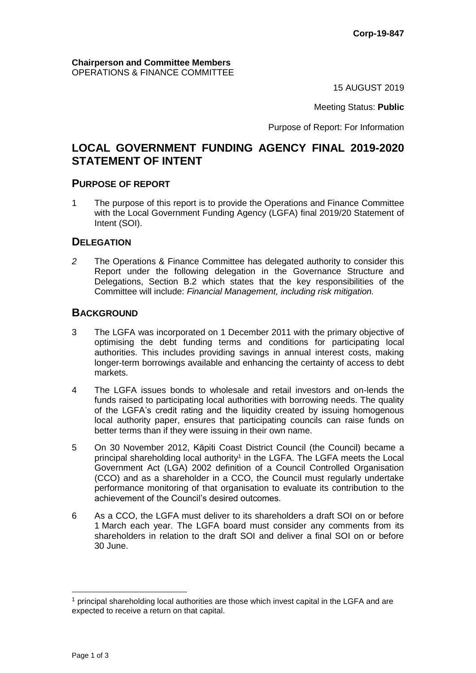15 AUGUST 2019

Meeting Status: **Public**

Purpose of Report: For Information

# **LOCAL GOVERNMENT FUNDING AGENCY FINAL 2019-2020 STATEMENT OF INTENT**

#### **PURPOSE OF REPORT**

1 The purpose of this report is to provide the Operations and Finance Committee with the Local Government Funding Agency (LGFA) final 2019/20 Statement of Intent (SOI).

### **DELEGATION**

*2* The Operations & Finance Committee has delegated authority to consider this Report under the following delegation in the Governance Structure and Delegations, Section B.2 which states that the key responsibilities of the Committee will include: *Financial Management, including risk mitigation.*

## **BACKGROUND**

- 3 The LGFA was incorporated on 1 December 2011 with the primary objective of optimising the debt funding terms and conditions for participating local authorities. This includes providing savings in annual interest costs, making longer-term borrowings available and enhancing the certainty of access to debt markets.
- 4 The LGFA issues bonds to wholesale and retail investors and on-lends the funds raised to participating local authorities with borrowing needs. The quality of the LGFA's credit rating and the liquidity created by issuing homogenous local authority paper, ensures that participating councils can raise funds on better terms than if they were issuing in their own name.
- 5 On 30 November 2012, Kāpiti Coast District Council (the Council) became a principal shareholding local authority<sup>1</sup> in the LGFA. The LGFA meets the Local Government Act (LGA) 2002 definition of a Council Controlled Organisation (CCO) and as a shareholder in a CCO, the Council must regularly undertake performance monitoring of that organisation to evaluate its contribution to the achievement of the Council's desired outcomes.
- 6 As a CCO, the LGFA must deliver to its shareholders a draft SOI on or before 1 March each year. The LGFA board must consider any comments from its shareholders in relation to the draft SOI and deliver a final SOI on or before 30 June.

 $<sup>1</sup>$  principal shareholding local authorities are those which invest capital in the LGFA and are</sup> expected to receive a return on that capital.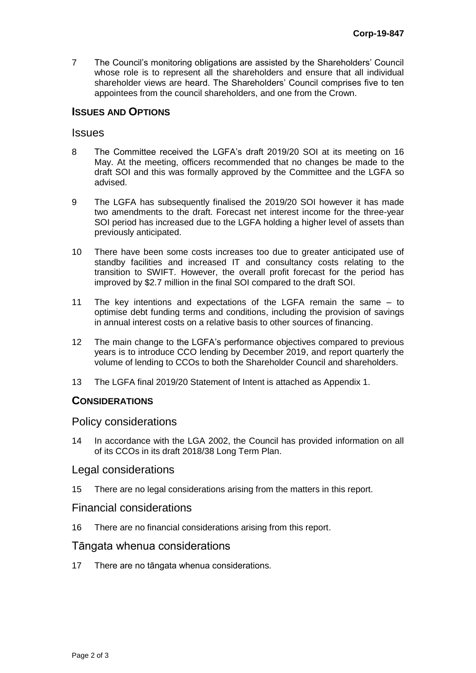7 The Council's monitoring obligations are assisted by the Shareholders' Council whose role is to represent all the shareholders and ensure that all individual shareholder views are heard. The Shareholders' Council comprises five to ten appointees from the council shareholders, and one from the Crown.

### **ISSUES AND OPTIONS**

#### Issues

- 8 The Committee received the LGFA's draft 2019/20 SOI at its meeting on 16 May. At the meeting, officers recommended that no changes be made to the draft SOI and this was formally approved by the Committee and the LGFA so advised.
- 9 The LGFA has subsequently finalised the 2019/20 SOI however it has made two amendments to the draft. Forecast net interest income for the three-year SOI period has increased due to the LGFA holding a higher level of assets than previously anticipated.
- 10 There have been some costs increases too due to greater anticipated use of standby facilities and increased IT and consultancy costs relating to the transition to SWIFT. However, the overall profit forecast for the period has improved by \$2.7 million in the final SOI compared to the draft SOI.
- 11 The key intentions and expectations of the LGFA remain the same to optimise debt funding terms and conditions, including the provision of savings in annual interest costs on a relative basis to other sources of financing.
- 12 The main change to the LGFA's performance objectives compared to previous years is to introduce CCO lending by December 2019, and report quarterly the volume of lending to CCOs to both the Shareholder Council and shareholders.
- 13 The LGFA final 2019/20 Statement of Intent is attached as Appendix 1.

## **CONSIDERATIONS**

#### Policy considerations

14 In accordance with the LGA 2002, the Council has provided information on all of its CCOs in its draft 2018/38 Long Term Plan.

#### Legal considerations

15 There are no legal considerations arising from the matters in this report.

#### Financial considerations

16 There are no financial considerations arising from this report.

### Tāngata whenua considerations

17 There are no tāngata whenua considerations.